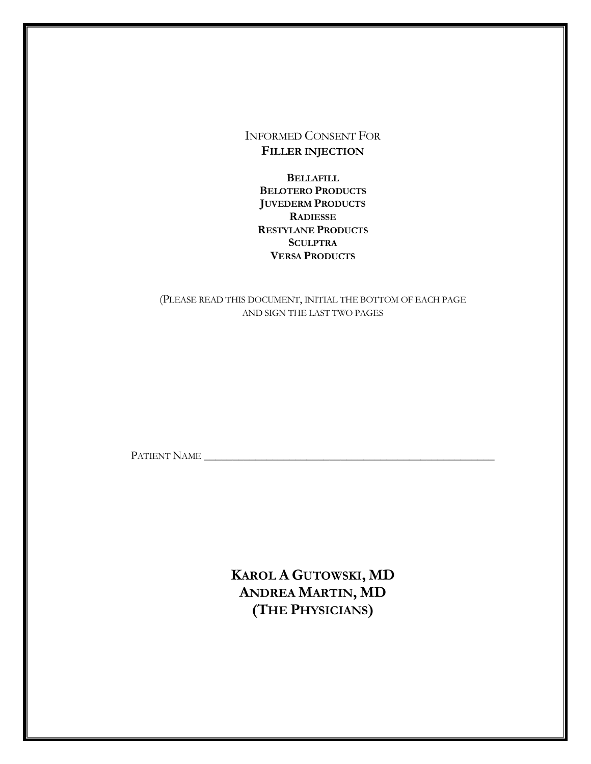INFORMED CONSENT FOR **FILLER INJECTION**

**BELLAFILL BELOTERO PRODUCTS JUVEDERM PRODUCTS RADIESSE RESTYLANE PRODUCTS SCULPTRA VERSA PRODUCTS**

# (PLEASE READ THIS DOCUMENT, INITIAL THE BOTTOM OF EACH PAGE AND SIGN THE LAST TWO PAGES

PATIENT NAME \_\_\_\_\_\_\_\_\_\_\_\_\_\_\_\_\_\_\_\_\_\_\_\_\_\_\_\_\_\_\_\_\_\_\_\_\_\_\_\_\_\_\_\_\_\_\_\_\_\_\_

**KAROL A GUTOWSKI, MD ANDREA MARTIN, MD (THE PHYSICIANS)**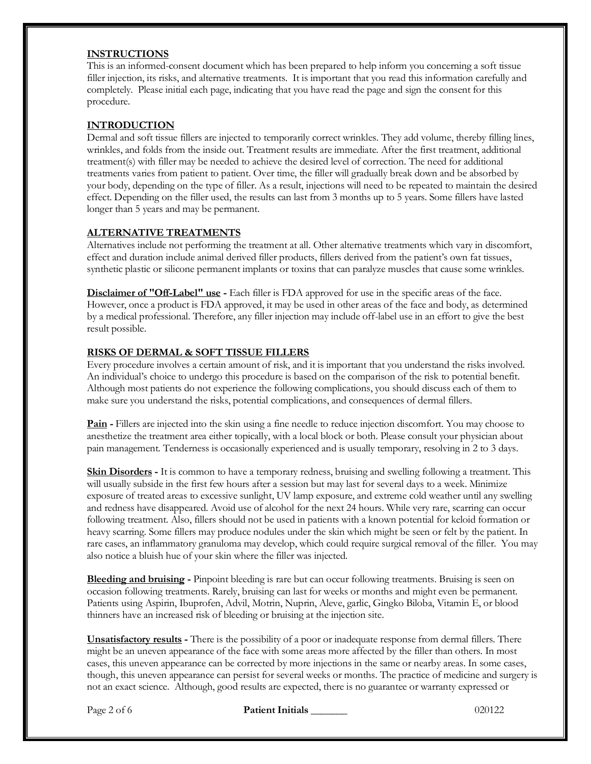### **INSTRUCTIONS**

This is an informed-consent document which has been prepared to help inform you concerning a soft tissue filler injection, its risks, and alternative treatments. It is important that you read this information carefully and completely. Please initial each page, indicating that you have read the page and sign the consent for this procedure.

### **INTRODUCTION**

Dermal and soft tissue fillers are injected to temporarily correct wrinkles. They add volume, thereby filling lines, wrinkles, and folds from the inside out. Treatment results are immediate. After the first treatment, additional treatment(s) with filler may be needed to achieve the desired level of correction. The need for additional treatments varies from patient to patient. Over time, the filler will gradually break down and be absorbed by your body, depending on the type of filler. As a result, injections will need to be repeated to maintain the desired effect. Depending on the filler used, the results can last from 3 months up to 5 years. Some fillers have lasted longer than 5 years and may be permanent.

# **ALTERNATIVE TREATMENTS**

Alternatives include not performing the treatment at all. Other alternative treatments which vary in discomfort, effect and duration include animal derived filler products, fillers derived from the patient's own fat tissues, synthetic plastic or silicone permanent implants or toxins that can paralyze muscles that cause some wrinkles.

**Disclaimer of "Off-Label" use -** Each filler is FDA approved for use in the specific areas of the face. However, once a product is FDA approved, it may be used in other areas of the face and body, as determined by a medical professional. Therefore, any filler injection may include off-label use in an effort to give the best result possible.

# **RISKS OF DERMAL & SOFT TISSUE FILLERS**

Every procedure involves a certain amount of risk, and it is important that you understand the risks involved. An individual's choice to undergo this procedure is based on the comparison of the risk to potential benefit. Although most patients do not experience the following complications, you should discuss each of them to make sure you understand the risks, potential complications, and consequences of dermal fillers.

**Pain -** Fillers are injected into the skin using a fine needle to reduce injection discomfort. You may choose to anesthetize the treatment area either topically, with a local block or both. Please consult your physician about pain management. Tenderness is occasionally experienced and is usually temporary, resolving in 2 to 3 days.

**Skin Disorders -** It is common to have a temporary redness, bruising and swelling following a treatment. This will usually subside in the first few hours after a session but may last for several days to a week. Minimize exposure of treated areas to excessive sunlight, UV lamp exposure, and extreme cold weather until any swelling and redness have disappeared. Avoid use of alcohol for the next 24 hours. While very rare, scarring can occur following treatment. Also, fillers should not be used in patients with a known potential for keloid formation or heavy scarring. Some fillers may produce nodules under the skin which might be seen or felt by the patient. In rare cases, an inflammatory granuloma may develop, which could require surgical removal of the filler. You may also notice a bluish hue of your skin where the filler was injected.

**Bleeding and bruising -** Pinpoint bleeding is rare but can occur following treatments. Bruising is seen on occasion following treatments. Rarely, bruising can last for weeks or months and might even be permanent. Patients using Aspirin, Ibuprofen, Advil, Motrin, Nuprin, Aleve, garlic, Gingko Biloba, Vitamin E, or blood thinners have an increased risk of bleeding or bruising at the injection site.

**Unsatisfactory results -** There is the possibility of a poor or inadequate response from dermal fillers. There might be an uneven appearance of the face with some areas more affected by the filler than others. In most cases, this uneven appearance can be corrected by more injections in the same or nearby areas. In some cases, though, this uneven appearance can persist for several weeks or months. The practice of medicine and surgery is not an exact science. Although, good results are expected, there is no guarantee or warranty expressed or

Page 2 of 6 **Patient Initials 1996 Patient Initials** 200122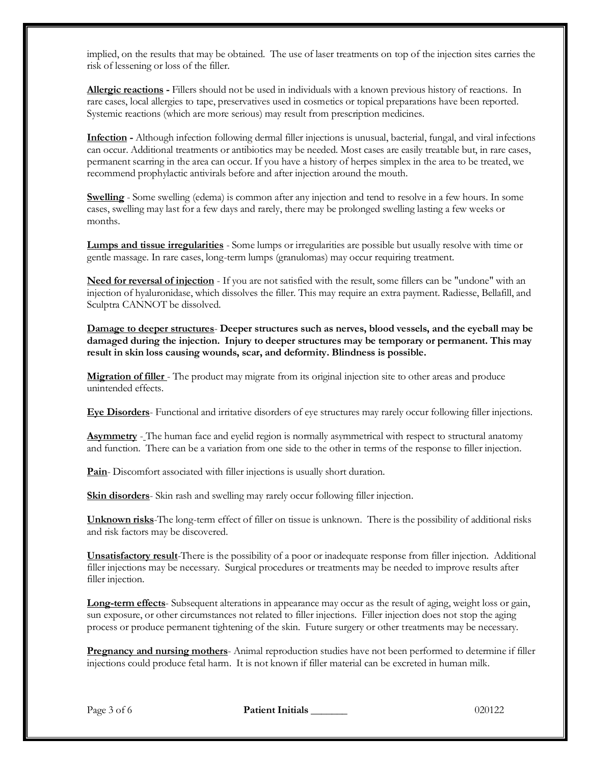implied, on the results that may be obtained. The use of laser treatments on top of the injection sites carries the risk of lessening or loss of the filler.

**Allergic reactions -** Fillers should not be used in individuals with a known previous history of reactions. In rare cases, local allergies to tape, preservatives used in cosmetics or topical preparations have been reported. Systemic reactions (which are more serious) may result from prescription medicines.

**Infection -** Although infection following dermal filler injections is unusual, bacterial, fungal, and viral infections can occur. Additional treatments or antibiotics may be needed. Most cases are easily treatable but, in rare cases, permanent scarring in the area can occur. If you have a history of herpes simplex in the area to be treated, we recommend prophylactic antivirals before and after injection around the mouth.

**Swelling** - Some swelling (edema) is common after any injection and tend to resolve in a few hours. In some cases, swelling may last for a few days and rarely, there may be prolonged swelling lasting a few weeks or months.

**Lumps and tissue irregularities** - Some lumps or irregularities are possible but usually resolve with time or gentle massage. In rare cases, long-term lumps (granulomas) may occur requiring treatment.

**Need for reversal of injection** - If you are not satisfied with the result, some fillers can be "undone" with an injection of hyaluronidase, which dissolves the filler. This may require an extra payment. Radiesse, Bellafill, and Sculptra CANNOT be dissolved.

**Damage to deeper structures**- **Deeper structures such as nerves, blood vessels, and the eyeball may be damaged during the injection. Injury to deeper structures may be temporary or permanent. This may result in skin loss causing wounds, scar, and deformity. Blindness is possible.**

**Migration of filler** - The product may migrate from its original injection site to other areas and produce unintended effects.

**Eye Disorders**- Functional and irritative disorders of eye structures may rarely occur following filler injections.

**Asymmetry** - The human face and eyelid region is normally asymmetrical with respect to structural anatomy and function. There can be a variation from one side to the other in terms of the response to filler injection.

**Pain**- Discomfort associated with filler injections is usually short duration.

**Skin disorders**- Skin rash and swelling may rarely occur following filler injection.

**Unknown risks**-The long-term effect of filler on tissue is unknown. There is the possibility of additional risks and risk factors may be discovered.

**Unsatisfactory result**-There is the possibility of a poor or inadequate response from filler injection. Additional filler injections may be necessary. Surgical procedures or treatments may be needed to improve results after filler injection.

**Long-term effects**- Subsequent alterations in appearance may occur as the result of aging, weight loss or gain, sun exposure, or other circumstances not related to filler injections. Filler injection does not stop the aging process or produce permanent tightening of the skin. Future surgery or other treatments may be necessary.

**Pregnancy and nursing mothers**- Animal reproduction studies have not been performed to determine if filler injections could produce fetal harm. It is not known if filler material can be excreted in human milk.

Page 3 of 6 **Patient Initials 1999 Patient Initials** 200122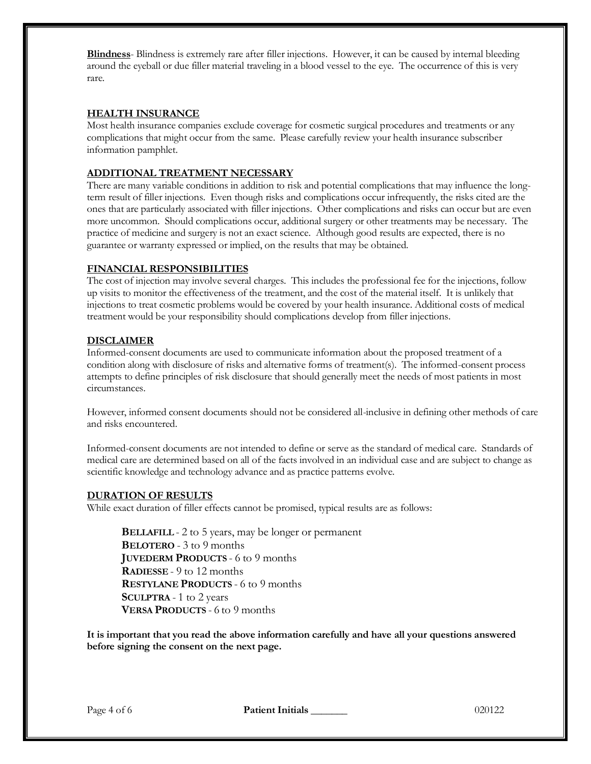**Blindness**- Blindness is extremely rare after filler injections. However, it can be caused by internal bleeding around the eyeball or due filler material traveling in a blood vessel to the eye. The occurrence of this is very rare.

# **HEALTH INSURANCE**

Most health insurance companies exclude coverage for cosmetic surgical procedures and treatments or any complications that might occur from the same. Please carefully review your health insurance subscriber information pamphlet.

# **ADDITIONAL TREATMENT NECESSARY**

There are many variable conditions in addition to risk and potential complications that may influence the longterm result of filler injections. Even though risks and complications occur infrequently, the risks cited are the ones that are particularly associated with filler injections. Other complications and risks can occur but are even more uncommon. Should complications occur, additional surgery or other treatments may be necessary. The practice of medicine and surgery is not an exact science. Although good results are expected, there is no guarantee or warranty expressed or implied, on the results that may be obtained.

# **FINANCIAL RESPONSIBILITIES**

The cost of injection may involve several charges. This includes the professional fee for the injections, follow up visits to monitor the effectiveness of the treatment, and the cost of the material itself. It is unlikely that injections to treat cosmetic problems would be covered by your health insurance. Additional costs of medical treatment would be your responsibility should complications develop from filler injections.

### **DISCLAIMER**

Informed-consent documents are used to communicate information about the proposed treatment of a condition along with disclosure of risks and alternative forms of treatment(s). The informed-consent process attempts to define principles of risk disclosure that should generally meet the needs of most patients in most circumstances.

However, informed consent documents should not be considered all-inclusive in defining other methods of care and risks encountered.

Informed-consent documents are not intended to define or serve as the standard of medical care. Standards of medical care are determined based on all of the facts involved in an individual case and are subject to change as scientific knowledge and technology advance and as practice patterns evolve.

### **DURATION OF RESULTS**

While exact duration of filler effects cannot be promised, typical results are as follows:

**BELLAFILL** - 2 to 5 years, may be longer or permanent **BELOTERO** - 3 to 9 months **JUVEDERM PRODUCTS** - 6 to 9 months **RADIESSE** - 9 to 12 months **RESTYLANE PRODUCTS** - 6 to 9 months **SCULPTRA** - 1 to 2 years **VERSA PRODUCTS** - 6 to 9 months

**It is important that you read the above information carefully and have all your questions answered before signing the consent on the next page.**

Page 4 of 6 **Patient Initials** 200122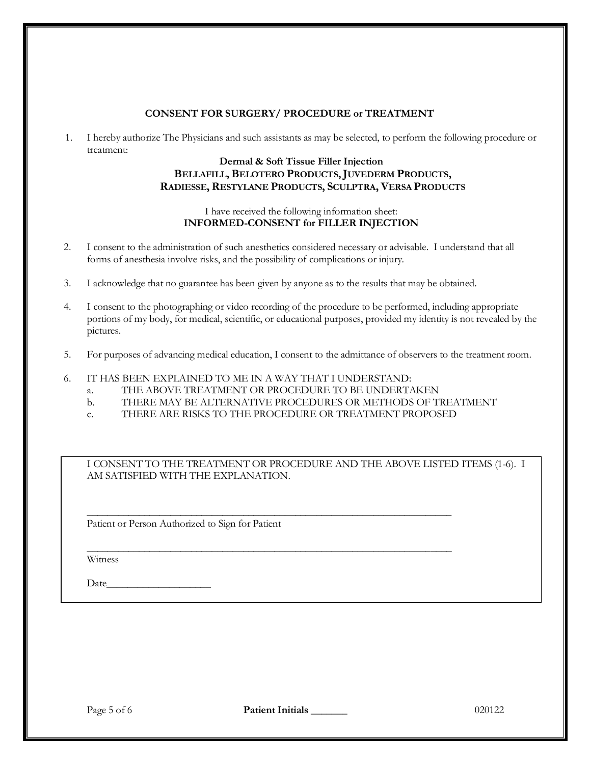# **CONSENT FOR SURGERY/ PROCEDURE or TREATMENT**

1. I hereby authorize The Physicians and such assistants as may be selected, to perform the following procedure or treatment:

# **Dermal & Soft Tissue Filler Injection BELLAFILL, BELOTERO PRODUCTS,JUVEDERM PRODUCTS, RADIESSE, RESTYLANE PRODUCTS, SCULPTRA, VERSA PRODUCTS**

### I have received the following information sheet: **INFORMED-CONSENT for FILLER INJECTION**

- 2. I consent to the administration of such anesthetics considered necessary or advisable. I understand that all forms of anesthesia involve risks, and the possibility of complications or injury.
- 3. I acknowledge that no guarantee has been given by anyone as to the results that may be obtained.
- 4. I consent to the photographing or video recording of the procedure to be performed, including appropriate portions of my body, for medical, scientific, or educational purposes, provided my identity is not revealed by the pictures.
- 5. For purposes of advancing medical education, I consent to the admittance of observers to the treatment room.
- 6. IT HAS BEEN EXPLAINED TO ME IN A WAY THAT I UNDERSTAND:
	- a. THE ABOVE TREATMENT OR PROCEDURE TO BE UNDERTAKEN
	- b. THERE MAY BE ALTERNATIVE PROCEDURES OR METHODS OF TREATMENT
	- c. THERE ARE RISKS TO THE PROCEDURE OR TREATMENT PROPOSED

\_\_\_\_\_\_\_\_\_\_\_\_\_\_\_\_\_\_\_\_\_\_\_\_\_\_\_\_\_\_\_\_\_\_\_\_\_\_\_\_\_\_\_\_\_\_\_\_\_\_\_\_\_\_\_\_\_\_\_\_\_\_\_\_\_\_\_\_\_\_

\_\_\_\_\_\_\_\_\_\_\_\_\_\_\_\_\_\_\_\_\_\_\_\_\_\_\_\_\_\_\_\_\_\_\_\_\_\_\_\_\_\_\_\_\_\_\_\_\_\_\_\_\_\_\_\_\_\_\_\_\_\_\_\_\_\_\_\_\_\_

I CONSENT TO THE TREATMENT OR PROCEDURE AND THE ABOVE LISTED ITEMS (1-6). I AM SATISFIED WITH THE EXPLANATION.

Patient or Person Authorized to Sign for Patient

Witness

Date

Page 5 of 6 **Patient Initials \_\_\_\_\_\_\_** 020122